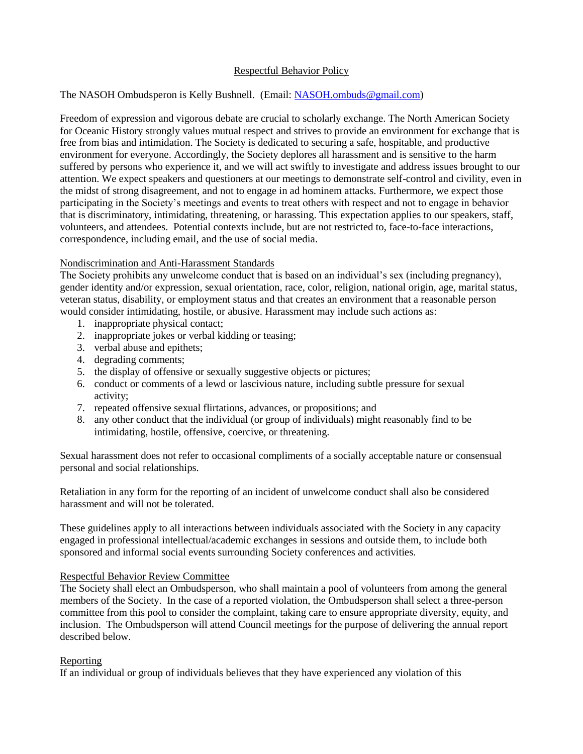# Respectful Behavior Policy

## The NASOH Ombudsperon is Kelly Bushnell. (Email: NASOH.ombuds@gmail.com)

Freedom of expression and vigorous debate are crucial to scholarly exchange. The North American Society for Oceanic History strongly values mutual respect and strives to provide an environment for exchange that is free from bias and intimidation. The Society is dedicated to securing a safe, hospitable, and productive environment for everyone. Accordingly, the Society deplores all harassment and is sensitive to the harm suffered by persons who experience it, and we will act swiftly to investigate and address issues brought to our attention. We expect speakers and questioners at our meetings to demonstrate self-control and civility, even in the midst of strong disagreement, and not to engage in ad hominem attacks. Furthermore, we expect those participating in the Society's meetings and events to treat others with respect and not to engage in behavior that is discriminatory, intimidating, threatening, or harassing. This expectation applies to our speakers, staff, volunteers, and attendees. Potential contexts include, but are not restricted to, face-to-face interactions, correspondence, including email, and the use of social media.

### Nondiscrimination and Anti-Harassment Standards

The Society prohibits any unwelcome conduct that is based on an individual's sex (including pregnancy), gender identity and/or expression, sexual orientation, race, color, religion, national origin, age, marital status, veteran status, disability, or employment status and that creates an environment that a reasonable person would consider intimidating, hostile, or abusive. Harassment may include such actions as:

- 1. inappropriate physical contact;
- 2. inappropriate jokes or verbal kidding or teasing;
- 3. verbal abuse and epithets;
- 4. degrading comments;
- 5. the display of offensive or sexually suggestive objects or pictures;
- 6. conduct or comments of a lewd or lascivious nature, including subtle pressure for sexual activity;
- 7. repeated offensive sexual flirtations, advances, or propositions; and
- 8. any other conduct that the individual (or group of individuals) might reasonably find to be intimidating, hostile, offensive, coercive, or threatening.

Sexual harassment does not refer to occasional compliments of a socially acceptable nature or consensual personal and social relationships.

Retaliation in any form for the reporting of an incident of unwelcome conduct shall also be considered harassment and will not be tolerated.

These guidelines apply to all interactions between individuals associated with the Society in any capacity engaged in professional intellectual/academic exchanges in sessions and outside them, to include both sponsored and informal social events surrounding Society conferences and activities.

### Respectful Behavior Review Committee

The Society shall elect an Ombudsperson, who shall maintain a pool of volunteers from among the general members of the Society. In the case of a reported violation, the Ombudsperson shall select a three-person committee from this pool to consider the complaint, taking care to ensure appropriate diversity, equity, and inclusion. The Ombudsperson will attend Council meetings for the purpose of delivering the annual report described below.

### Reporting

If an individual or group of individuals believes that they have experienced any violation of this